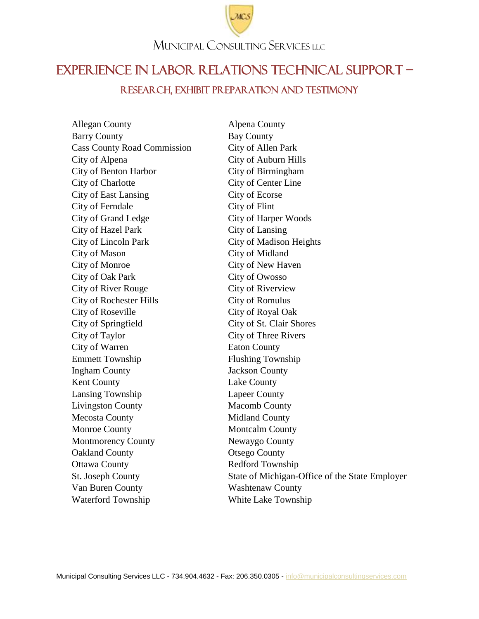

## EXPERIENCE IN LABOR RELATIONS Technical SUPPORT – Research, EXHIBIT PREPARATION AND TESTIMONY

Allegan County Alpena County Barry County Bay County Cass County Road Commission City of Allen Park City of Alpena City of Auburn Hills City of Benton Harbor City of Birmingham City of Charlotte City of Center Line City of East Lansing City of Ecorse City of Ferndale City of Flint City of Grand Ledge City of Harper Woods City of Hazel Park City of Lansing City of Lincoln Park City of Madison Heights City of Mason City of Midland City of Monroe City of New Haven City of Oak Park City of Owosso City of River Rouge City of Riverview City of Rochester Hills City of Romulus City of Roseville City of Royal Oak City of Springfield City of St. Clair Shores City of Taylor City of Three Rivers City of Warren Eaton County Emmett Township Flushing Township Ingham County Jackson County Kent County Lake County Lansing Township Lapeer County Livingston County Macomb County Mecosta County **Midland County** Monroe County **Montcalm County** Montmorency County Newaygo County Oakland County Otsego County Ottawa County **Redford Township** Van Buren County Washtenaw County Waterford Township White Lake Township

St. Joseph County State of Michigan-Office of the State Employer